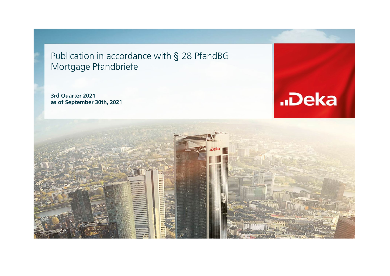Publication in accordance with § 28 PfandBG Mortgage Pfandbriefe

**3rd Quarter 2021 as of September 30th, 2021**



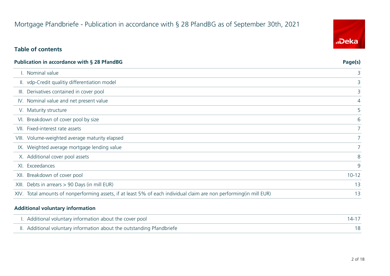# Mortgage Pfandbriefe - Publication in accordance with § 28 PfandBG as of September 30th, 2021

### **Table of contents**

| Publication in accordance with § 28 PfandBG | Page(s)                                                                                                             |                |
|---------------------------------------------|---------------------------------------------------------------------------------------------------------------------|----------------|
|                                             | I. Nominal value                                                                                                    | 3              |
|                                             | II. vdp-Credit qualitiy differentiation model                                                                       | 3.             |
|                                             | III. Derivatives contained in cover pool                                                                            | 3              |
|                                             | IV. Nominal value and net present value                                                                             | 4              |
|                                             | V. Maturity structure                                                                                               | 5              |
|                                             | VI. Breakdown of cover pool by size                                                                                 | 6              |
|                                             | VII. Fixed-interest rate assets                                                                                     | 7 <sup>1</sup> |
|                                             | VIII. Volume-weighted average maturity elapsed                                                                      | 7              |
|                                             | IX. Weighted average mortgage lending value                                                                         | 7 <sup>1</sup> |
|                                             | X. Additional cover pool assets                                                                                     | 8              |
|                                             | XI. Exceedances                                                                                                     | 9              |
|                                             | XII. Breakdown of cover pool                                                                                        | $10 - 12$      |
|                                             | XIII. Debts in arrears > 90 Days (in mill EUR)                                                                      | 13             |
|                                             | XIV. Total amounts of nonperforming assets, if at least 5% of each individual claim are non performing(in mill EUR) | 13             |

#### **Additional voluntary information**

| I. Additional voluntary information about the cover pool               |  |
|------------------------------------------------------------------------|--|
| II. Additional voluntary information about the outstanding Pfandbriefe |  |

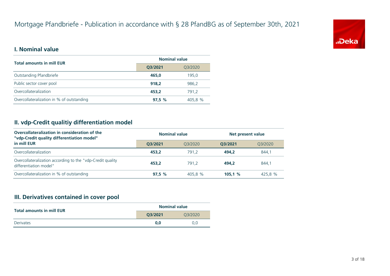

#### **I. Nominal value**

| <b>Total amounts in mill EUR</b>          | <b>Nominal value</b> |         |  |
|-------------------------------------------|----------------------|---------|--|
| Q3/2021                                   |                      | Q3/2020 |  |
| Outstanding Pfandbriefe                   | 465.0                | 195.0   |  |
| Public sector cover pool                  | 918.2                | 986,2   |  |
| Overcollateralization                     | 453.2                | 791.2   |  |
| Overcollateralization in % of outstanding | 97.5%                | 405.8 % |  |

#### **II. vdp-Credit qualitiy differentiation model**

| Overcollateralization in consideration of the<br>"vdp-Credit quality differentiation model" | <b>Nominal value</b> |         |         | Net present value |  |
|---------------------------------------------------------------------------------------------|----------------------|---------|---------|-------------------|--|
| in mill EUR                                                                                 | O3/2021              | 03/2020 | O3/2021 | 03/2020           |  |
| Overcollateralization                                                                       | 453.2                | 791.2   | 494.2   | 844.1             |  |
| Overcollateralization according to the "vdp-Credit quality<br>differentiation model"        | 453.2                | 791.2   | 494.2   | 844.1             |  |
| Overcollateralization in % of outstanding                                                   | 97.5%                | 405.8 % | 105.1%  | 425.8 %           |  |

#### **III. Derivatives contained in cover pool**

| <b>Total amounts in mill EUR</b> | <b>Nominal value</b> |     |  |
|----------------------------------|----------------------|-----|--|
|                                  | Q3/2021<br>03/2020   |     |  |
| Derivates                        | 0.0                  | 0.0 |  |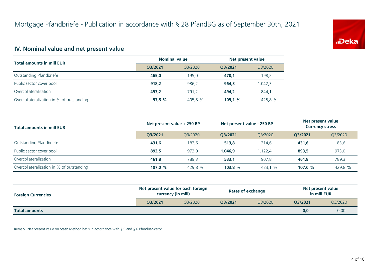

#### **IV. Nominal value and net present value**

| <b>Total amounts in mill EUR</b>          | <b>Nominal value</b> |         | Net present value |         |  |
|-------------------------------------------|----------------------|---------|-------------------|---------|--|
|                                           | 03/2021              | Q3/2020 | O3/2021           | Q3/2020 |  |
| Outstanding Pfandbriefe                   | 465.0                | 195.0   | 470.1             | 198,2   |  |
| Public sector cover pool                  | 918.2                | 986.2   | 964.3             | 1.042,3 |  |
| Overcollateralization                     | 453.2                | 791.2   | 494.2             | 844,1   |  |
| Overcollateralization in % of outstanding | 97.5%                | 405,8 % | 105,1%            | 425,8 % |  |

| <b>Total amounts in mill EUR</b>          | Net present value + 250 BP |         | Net present value - 250 BP |         | Net present value<br><b>Currency stress</b> |         |
|-------------------------------------------|----------------------------|---------|----------------------------|---------|---------------------------------------------|---------|
|                                           | O3/2021                    | 03/2020 | O3/2021                    | 03/2020 | O3/2021                                     | Q3/2020 |
| Outstanding Pfandbriefe                   | 431,6                      | 183.6   | 513.8                      | 214.6   | 431.6                                       | 183,6   |
| Public sector cover pool                  | 893.5                      | 973.0   | 1.046.9                    | 1.122.4 | 893.5                                       | 973,0   |
| Overcollateralization                     | 461.8                      | 789.3   | 533,1                      | 907.8   | 461.8                                       | 789,3   |
| Overcollateralization in % of outstanding | 107.0 $%$                  | 429,8 % | 103.8%                     | 423,1 % | 107,0 $%$                                   | 429,8 % |

| <b>Foreign Currencies</b> | Net present value for each foreign<br>currency (in mill) |         |         | <b>Rates of exchange</b> | Net present value<br>in mill EUR |         |
|---------------------------|----------------------------------------------------------|---------|---------|--------------------------|----------------------------------|---------|
|                           | O3/2021                                                  | 03/2020 | O3/2021 | 03/2020                  | O3/2021                          | Q3/2020 |
| <b>Total amounts</b>      |                                                          |         |         |                          | 0,0                              | 0,00    |

Remark: Net present value on Static Method basis in accordance with § 5 and § 6 PfandBarwertV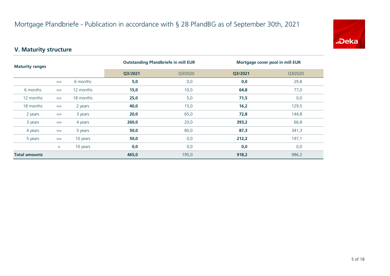

# **V. Maturity structure**

| <b>Maturity ranges</b> |        |           | <b>Outstanding Pfandbriefe in mill EUR</b> |         | Mortgage cover pool in mill EUR |       |  |
|------------------------|--------|-----------|--------------------------------------------|---------|---------------------------------|-------|--|
|                        |        | Q3/2021   | Q3/2020                                    | Q3/2021 | Q3/2020                         |       |  |
|                        | $\leq$ | 6 months  | 5,0                                        | 0,0     | 0,0                             | 29,8  |  |
| 6 months               | $\leq$ | 12 months | 15,0                                       | 10,0    | 64,8                            | 77,0  |  |
| 12 months              | $\leq$ | 18 months | 25,0                                       | 5,0     | 71,5                            | 0,0   |  |
| 18 months              | $\leq$ | 2 years   | 40,0                                       | 15,0    | 16,2                            | 129,5 |  |
| 2 years                | $\leq$ | 3 years   | 20,0                                       | 65,0    | 72,8                            | 144,8 |  |
| 3 years                | $\leq$ | 4 years   | 260,0                                      | 20,0    | 393,2                           | 66,8  |  |
| 4 years                | $\leq$ | 5 years   | 50,0                                       | 80,0    | 87,3                            | 341,3 |  |
| 5 years                | $\leq$ | 10 years  | 50,0                                       | 0,0     | 212,2                           | 197,1 |  |
|                        | $\geq$ | 10 years  | 0,0                                        | 0,0     | 0,0                             | 0,0   |  |
| <b>Total amounts</b>   |        | 465,0     | 195,0                                      | 918,2   | 986,2                           |       |  |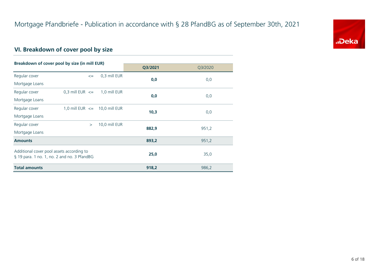

# **VI. Breakdown of cover pool by size**

| Breakdown of cover pool by size (in mill EUR)                                            |                                   |               |         |         |
|------------------------------------------------------------------------------------------|-----------------------------------|---------------|---------|---------|
|                                                                                          |                                   |               | Q3/2021 | Q3/2020 |
| Regular cover                                                                            | $\leq$                            | 0,3 mill EUR  | 0,0     | 0,0     |
| Mortgage Loans                                                                           |                                   |               |         |         |
| Regular cover                                                                            | 0,3 mill EUR $\leq$               | 1,0 mill EUR  |         |         |
| Mortgage Loans                                                                           |                                   |               | 0,0     | 0,0     |
| Regular cover                                                                            | 1,0 mill EUR $\leq$ 10,0 mill EUR |               | 10,3    |         |
| Mortgage Loans                                                                           |                                   |               |         | 0,0     |
| Regular cover                                                                            | $\geq$                            | 10,0 mill EUR | 882,9   |         |
| Mortgage Loans                                                                           |                                   |               |         | 951,2   |
| <b>Amounts</b>                                                                           |                                   |               | 893,2   | 951,2   |
| Additional cover pool assets according to<br>§ 19 para. 1 no. 1, no. 2 and no. 3 PfandBG |                                   |               | 25,0    | 35,0    |
| <b>Total amounts</b>                                                                     |                                   |               | 918,2   | 986,2   |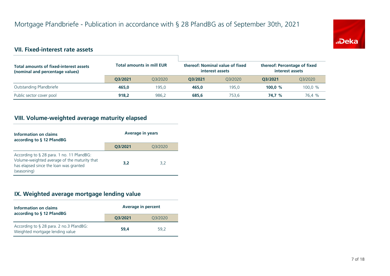

#### **VII. Fixed-interest rate assets**

| <b>Total amounts of fixed-interest assets</b><br>(nominal and percentage values) | <b>Total amounts in mill EUR</b> |         | thereof: Nominal value of fixed<br>interest assets |         | thereof: Percentage of fixed<br>interest assets |         |
|----------------------------------------------------------------------------------|----------------------------------|---------|----------------------------------------------------|---------|-------------------------------------------------|---------|
|                                                                                  | O3/2021                          | 03/2020 | O3/2021                                            | 03/2020 | O3/2021                                         | 03/2020 |
| Outstanding Pfandbriefe                                                          | 465.0                            | 195.0   | 465.0                                              | 195.0   | 100.0 $%$                                       | 100,0 % |
| Public sector cover pool                                                         | 918,2                            | 986,2   | 685,6                                              | 753.6   | 74.7 %                                          | 76.4 %  |

# **VIII. Volume-weighted average maturity elapsed**

| Information on claims<br>according to § 12 PfandBG                                                                                                 | <b>Average in years</b> |         |  |
|----------------------------------------------------------------------------------------------------------------------------------------------------|-------------------------|---------|--|
|                                                                                                                                                    | Q3/2021                 | Q3/2020 |  |
| According to § 28 para. 1 no. 11 PfandBG:<br>Volume-weighted average of the maturity that<br>has elapsed since the loan was granted<br>(seasoning) | 3,2                     | 3,2     |  |

#### **IX. Weighted average mortgage lending value**

| Information on claims<br>according to § 12 PfandBG                         | <b>Average in percent</b> |         |  |
|----------------------------------------------------------------------------|---------------------------|---------|--|
|                                                                            | 03/2021                   | Q3/2020 |  |
| According to § 28 para. 2 no.3 PfandBG:<br>Weighted mortgage lending value | 59.4                      | 59.2    |  |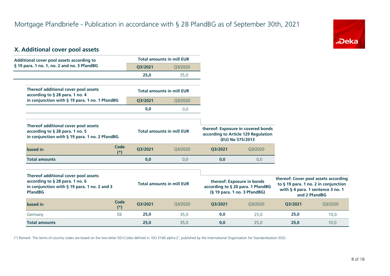

#### **X. Additional cover pool assets**

| Additional cover pool assets according to                                                                                                 |                      |         | <b>Total amounts in mill EUR</b> |                                                                                                 |                                                                                               |         |                                                                                                                                    |
|-------------------------------------------------------------------------------------------------------------------------------------------|----------------------|---------|----------------------------------|-------------------------------------------------------------------------------------------------|-----------------------------------------------------------------------------------------------|---------|------------------------------------------------------------------------------------------------------------------------------------|
| § 19 para. 1 no. 1, no. 2 and no. 3 PfandBG                                                                                               |                      | Q3/2021 | Q3/2020                          |                                                                                                 |                                                                                               |         |                                                                                                                                    |
|                                                                                                                                           |                      | 25,0    | 35,0                             |                                                                                                 |                                                                                               |         |                                                                                                                                    |
| Thereof additional cover pool assets<br>according to § 28 para. 1 no. 4                                                                   |                      |         | <b>Total amounts in mill EUR</b> |                                                                                                 |                                                                                               |         |                                                                                                                                    |
| in conjunction with § 19 para. 1 no. 1 PfandBG                                                                                            |                      | Q3/2021 | Q3/2020                          |                                                                                                 |                                                                                               |         |                                                                                                                                    |
|                                                                                                                                           |                      | 0,0     | 0,0                              |                                                                                                 |                                                                                               |         |                                                                                                                                    |
| Thereof additional cover pool assets<br>according to § 28 para. 1 no. 5<br>in conjunction with § 19 para. 1 no. 2 PfandBG                 |                      |         | <b>Total amounts in mill EUR</b> |                                                                                                 | thereof: Exposure in covered bonds<br>according to Article 129 Regulation<br>(EU) No 575/2013 |         |                                                                                                                                    |
| based in                                                                                                                                  | Code<br>$(*)$        | Q3/2021 | Q3/2020                          | Q3/2021                                                                                         | Q3/2020                                                                                       |         |                                                                                                                                    |
| <b>Total amounts</b>                                                                                                                      |                      | 0,0     | 0,0                              | 0,0                                                                                             | 0,0                                                                                           |         |                                                                                                                                    |
| Thereof additional cover pool assets<br>according to § 28 para. 1 no. 6<br>in conjunction with § 19 para. 1 no. 2 and 3<br><b>PfandBG</b> |                      |         | <b>Total amounts in mill EUR</b> | thereof: Exposure in bonds<br>according to § 20 para. 1 PfandBG<br>(§ 19 para. 1 no. 3 PfandBG) |                                                                                               |         | thereof: Cover pool assets according<br>to § 19 para. 1 no. 2 in conjunction<br>with § 4 para. 1 sentence 3 no. 1<br>and 2 PfandBG |
| based in                                                                                                                                  | <b>Code</b><br>$(*)$ | Q3/2021 | Q3/2020                          | Q3/2021                                                                                         | Q3/2020                                                                                       | Q3/2021 | Q3/2020                                                                                                                            |
| Germany                                                                                                                                   | DE                   | 25,0    | 35,0                             | 0,0                                                                                             | 25,0                                                                                          | 25,0    | 10,0                                                                                                                               |
| <b>Total amounts</b>                                                                                                                      |                      | 25,0    | 35,0                             | 0,0                                                                                             | 25,0                                                                                          | 25,0    | 10,0                                                                                                                               |

(\*) Remark: The terms of country codes are based on the two-letter ISO-Codes defined in 'ISO 3166 alpha-2', published by the International Organization for Standardization (ISO).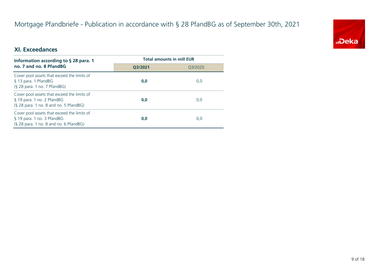# Mortgage Pfandbriefe - Publication in accordance with § 28 PfandBG as of September 30th, 2021



#### **XI. Exceedances**

| Information according to $\S$ 28 para. 1                                                                              | <b>Total amounts in mill EUR</b> |         |  |
|-----------------------------------------------------------------------------------------------------------------------|----------------------------------|---------|--|
| no. 7 and no. 8 PfandBG                                                                                               | O3/2021                          | 03/2020 |  |
| Cover pool assets that exceed the limits of<br>§ 13 para. 1 PfandBG<br>(§ 28 para. 1 no. 7 PfandBG)                   | 0,0                              | 0,0     |  |
| Cover pool assets that exceed the limits of<br>§ 19 para. 1 no. 2 PfandBG<br>$(S$ 28 para. 1 no. 8 and no. 5 PfandBG) | 0,0                              | 0,0     |  |
| Cover pool assets that exceed the limits of<br>§ 19 para. 1 no. 3 PfandBG<br>(§ 28 para. 1 no. 8 and no. 6 PfandBG)   | 0,0                              | 0,0     |  |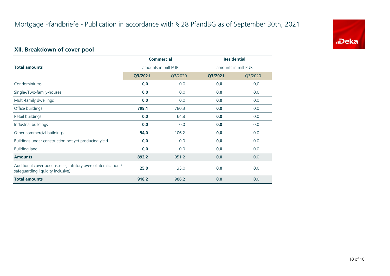

# **XII. Breakdown of cover pool**

|                                                                                                      |                     | <b>Commercial</b> | <b>Residential</b>  |         |  |
|------------------------------------------------------------------------------------------------------|---------------------|-------------------|---------------------|---------|--|
| <b>Total amounts</b>                                                                                 | amounts in mill EUR |                   | amounts in mill EUR |         |  |
|                                                                                                      | Q3/2021             | Q3/2020           | Q3/2021             | Q3/2020 |  |
| Condominiums                                                                                         | 0,0                 | 0,0               | 0,0                 | 0,0     |  |
| Single-/Two-family-houses                                                                            | 0,0                 | 0,0               | 0,0                 | 0,0     |  |
| Multi-family dwellings                                                                               | 0,0                 | 0,0               | 0,0                 | 0,0     |  |
| Office buildings                                                                                     | 799,1               | 780,3             | 0,0                 | 0,0     |  |
| Retail buildings                                                                                     | 0,0                 | 64,8              | 0,0                 | 0,0     |  |
| Industrial buildings                                                                                 | 0,0                 | 0,0               | 0,0                 | 0,0     |  |
| Other commercial buildings                                                                           | 94,0                | 106,2             | 0,0                 | 0,0     |  |
| Buildings under construction not yet producing yield                                                 | 0,0                 | 0,0               | 0,0                 | 0,0     |  |
| <b>Building land</b>                                                                                 | 0,0                 | 0,0               | 0,0                 | 0,0     |  |
| <b>Amounts</b>                                                                                       | 893,2               | 951,2             | 0,0                 | 0,0     |  |
| Additional cover pool assets (statutory overcollateralization /<br>safeguarding liquidity inclusive) | 25,0                | 35,0              | 0,0                 | 0,0     |  |
| <b>Total amounts</b>                                                                                 | 918,2               | 986,2             | 0,0                 | 0,0     |  |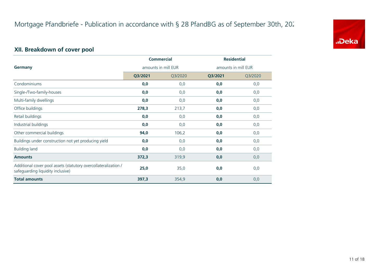

# **XII. Breakdown of cover pool**

|                                                                                                      | <b>Commercial</b>   |         | <b>Residential</b>  |         |
|------------------------------------------------------------------------------------------------------|---------------------|---------|---------------------|---------|
| <b>Germany</b>                                                                                       | amounts in mill EUR |         | amounts in mill EUR |         |
|                                                                                                      | Q3/2021             | Q3/2020 | Q3/2021             | Q3/2020 |
| Condominiums                                                                                         | 0,0                 | 0,0     | 0,0                 | 0,0     |
| Single-/Two-family-houses                                                                            | 0,0                 | 0,0     | 0,0                 | 0,0     |
| Multi-family dwellings                                                                               | 0,0                 | 0,0     | 0,0                 | 0,0     |
| Office buildings                                                                                     | 278,3               | 213,7   | 0,0                 | 0,0     |
| Retail buildings                                                                                     | 0,0                 | 0,0     | 0,0                 | 0,0     |
| Industrial buildings                                                                                 | 0,0                 | 0,0     | 0,0                 | 0,0     |
| Other commercial buildings                                                                           | 94,0                | 106,2   | 0,0                 | 0,0     |
| Buildings under construction not yet producing yield                                                 | 0,0                 | 0,0     | 0,0                 | 0,0     |
| <b>Building land</b>                                                                                 | 0,0                 | 0,0     | 0,0                 | 0,0     |
| <b>Amounts</b>                                                                                       | 372,3               | 319,9   | 0,0                 | 0,0     |
| Additional cover pool assets (statutory overcollateralization /<br>safeguarding liquidity inclusive) | 25,0                | 35,0    | 0,0                 | 0,0     |
| <b>Total amounts</b>                                                                                 | 397,3               | 354,9   | 0,0                 | 0,0     |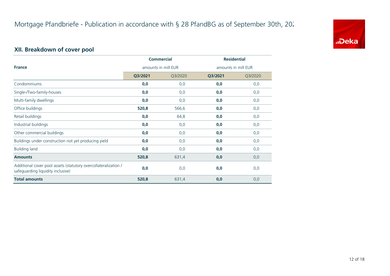

# **XII. Breakdown of cover pool**

|                                                                                                      |                     | <b>Commercial</b> | <b>Residential</b>  |         |
|------------------------------------------------------------------------------------------------------|---------------------|-------------------|---------------------|---------|
| <b>France</b>                                                                                        | amounts in mill EUR |                   | amounts in mill EUR |         |
|                                                                                                      | Q3/2021             | Q3/2020           | Q3/2021             | Q3/2020 |
| Condominiums                                                                                         | 0,0                 | 0,0               | 0,0                 | 0,0     |
| Single-/Two-family-houses                                                                            | 0,0                 | 0,0               | 0,0                 | 0,0     |
| Multi-family dwellings                                                                               | 0,0                 | 0,0               | 0,0                 | 0,0     |
| Office buildings                                                                                     | 520,8               | 566,6             | 0,0                 | 0,0     |
| Retail buildings                                                                                     | 0,0                 | 64,8              | 0,0                 | 0,0     |
| Industrial buildings                                                                                 | 0,0                 | 0,0               | 0,0                 | 0,0     |
| Other commercial buildings                                                                           | 0,0                 | 0,0               | 0,0                 | 0,0     |
| Buildings under construction not yet producing yield                                                 | 0,0                 | 0,0               | 0,0                 | 0,0     |
| <b>Building land</b>                                                                                 | 0,0                 | 0,0               | 0,0                 | 0,0     |
| <b>Amounts</b>                                                                                       | 520,8               | 631,4             | 0,0                 | 0,0     |
| Additional cover pool assets (statutory overcollateralization /<br>safeguarding liquidity inclusive) | 0,0                 | 0,0               | 0,0                 | 0,0     |
| <b>Total amounts</b>                                                                                 | 520,8               | 631,4             | 0,0                 | 0,0     |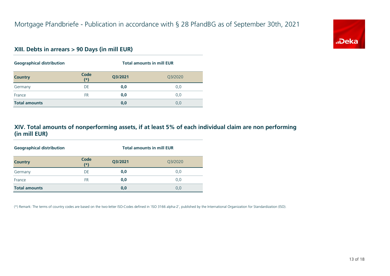

#### **XIII. Debts in arrears > 90 Days (in mill EUR)**

| <b>Geographical distribution</b> |               | <b>Total amounts in mill EUR</b> |         |  |
|----------------------------------|---------------|----------------------------------|---------|--|
| <b>Country</b>                   | Code<br>$(*)$ | Q3/2021                          | Q3/2020 |  |
| Germany                          | DE            | 0,0                              | 0,0     |  |
| France                           | FR            | 0,0                              | 0,0     |  |
| <b>Total amounts</b>             |               | 0,0                              | 0,0     |  |

#### **XIV. Total amounts of nonperforming assets, if at least 5% of each individual claim are non performing (in mill EUR)**

| <b>Geographical distribution</b> |               | <b>Total amounts in mill EUR</b> |         |  |
|----------------------------------|---------------|----------------------------------|---------|--|
| <b>Country</b>                   | Code<br>$(*)$ | Q3/2021                          | Q3/2020 |  |
| Germany                          | DE            | 0,0                              | 0,0     |  |
| France                           | <b>FR</b>     | 0,0                              | 0,0     |  |
| <b>Total amounts</b>             |               | 0,0                              | 0,0     |  |

(\*) Remark: The terms of country codes are based on the two-letter ISO-Codes defined in 'ISO 3166 alpha-2', published by the International Organization for Standardization (ISO).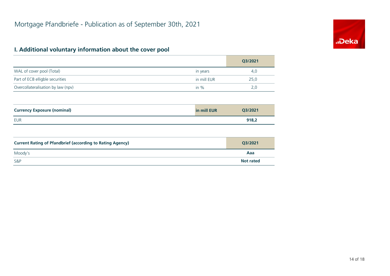# "Deka

# **I. Additional voluntary information about the cover pool**

|                                                                  |             | Q3/2021          |
|------------------------------------------------------------------|-------------|------------------|
| WAL of cover pool (Total)                                        | in years    | 4,0              |
| Part of ECB elligble securities                                  | in mill EUR | 25,0             |
| Overcollateralisation by law (npv)                               | in $%$      | 2,0              |
|                                                                  |             |                  |
| <b>Currency Exposure (nominal)</b>                               | in mill EUR | Q3/2021          |
| <b>EUR</b>                                                       |             | 918,2            |
|                                                                  |             |                  |
| <b>Current Rating of Pfandbrief (according to Rating Agency)</b> |             | Q3/2021          |
| Moody's                                                          |             | Aaa              |
| S&P                                                              |             | <b>Not rated</b> |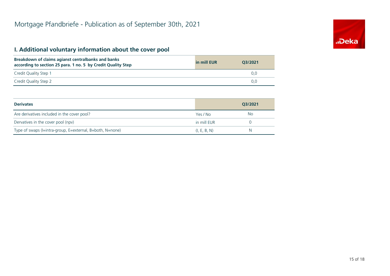# **I. Additional voluntary information about the cover pool**

| Breakdown of claims agianst centralbanks and banks<br>according to section 25 para. 1 no. 5 by Credit Quality Step | in mill EUR | 03/2021 |
|--------------------------------------------------------------------------------------------------------------------|-------------|---------|
| Credit Quality Step 1                                                                                              |             |         |
| Credit Quality Step 2                                                                                              |             | 0.0     |

| <b>Derivates</b>                                          |              | O3/2021 |
|-----------------------------------------------------------|--------------|---------|
| Are derivatives included in the cover pool?               | Yes / No     | No.     |
| Dervatives in the cover pool (npv)                        | in mill EUR  |         |
| Type of swaps (I=intra-group, E=external, B=both, N=none) | (I, E, B, N) | N       |

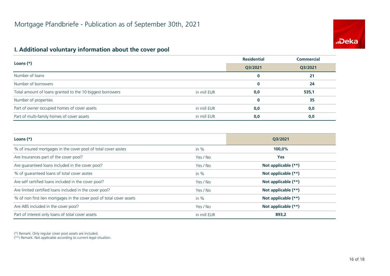# **.Deka**

#### **I. Additional voluntary information about the cover pool**

| Loans $(*)$                                               |             | <b>Residential</b> | <b>Commercial</b> |
|-----------------------------------------------------------|-------------|--------------------|-------------------|
|                                                           |             | Q3/2021            | Q3/2021           |
| Number of loans                                           |             | $\bf{0}$           | 21                |
| Number of borrowers                                       |             | $\bf{0}$           | 24                |
| Total amount of loans granted to the 10 biggest borrowers | in mill EUR | 0,0                | 535,1             |
| Number of properties                                      |             | $\bf{0}$           | 35                |
| Part of owner occupied homes of cover assets              | in mill EUR | 0,0                | 0,0               |
| Part of multi-family homes of cover assets                | in mill EUR | 0,0                | 0,0               |

| Loans $(*)$                                                           |             | O3/2021             |
|-----------------------------------------------------------------------|-------------|---------------------|
| % of insured mortgages in the cover pool of total cover asstes        | in $%$      | 100,0%              |
| Are Insurances part of the cover pool?                                | Yes / No    | <b>Yes</b>          |
| Are guaranteed loans included in the cover pool?                      | Yes / No    | Not applicable (**) |
| % of quaranteed loans of total cover asstes                           | in $%$      | Not applicable (**) |
| Are self certified loans included in the cover pool?                  | Yes / No    | Not applicable (**) |
| Are limited certified loans included in the cover pool?               | Yes / No    | Not applicable (**) |
| % of non first lien mortgages in the cover pool of total cover assets | in $%$      | Not applicable (**) |
| Are ABS included in the cover pool?                                   | Yes / No    | Not applicable (**) |
| Part of interest only loans of total cover assets                     | in mill EUR | 893,2               |

(\*) Remark: Only regular cover pool assets are included.

(\*\*) Remark: Not applicable according to current legal situation.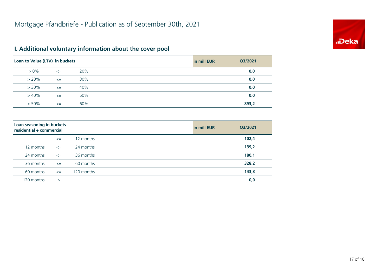

# **I. Additional voluntary information about the cover pool**

| Loan to Value (LTV) in buckets |        |     | in mill EUR<br>Q3/2021 |  |
|--------------------------------|--------|-----|------------------------|--|
| $> 0\%$                        | $\leq$ | 20% | 0,0                    |  |
| $> 20\%$                       | $\leq$ | 30% | 0,0                    |  |
| $> 30\%$                       | $\leq$ | 40% | 0,0                    |  |
| >40%                           | $\leq$ | 50% | 0,0                    |  |
| $> 50\%$                       | $\leq$ | 60% | 893,2                  |  |

| Loan seasoning in buckets<br>residential + commercial |        |            | in mill EUR | Q3/2021 |
|-------------------------------------------------------|--------|------------|-------------|---------|
|                                                       | $\leq$ | 12 months  |             | 102,4   |
| 12 months                                             | $\leq$ | 24 months  |             | 139,2   |
| 24 months                                             | $\leq$ | 36 months  |             | 180,1   |
| 36 months                                             | $\leq$ | 60 months  |             | 328,2   |
| 60 months                                             | $\leq$ | 120 months |             | 143,3   |
| 120 months                                            | $\geq$ |            |             | 0,0     |